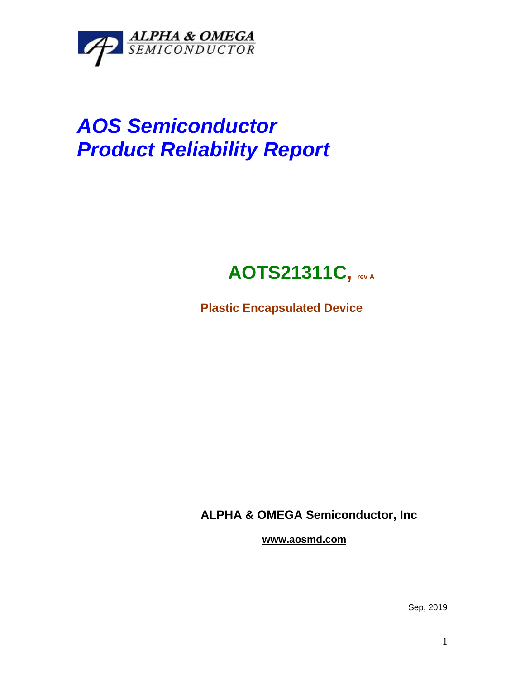

# *AOS Semiconductor Product Reliability Report*

## **AOTS21311C, rev <sup>A</sup>**

**Plastic Encapsulated Device**

**ALPHA & OMEGA Semiconductor, Inc**

**www.aosmd.com**

Sep, 2019